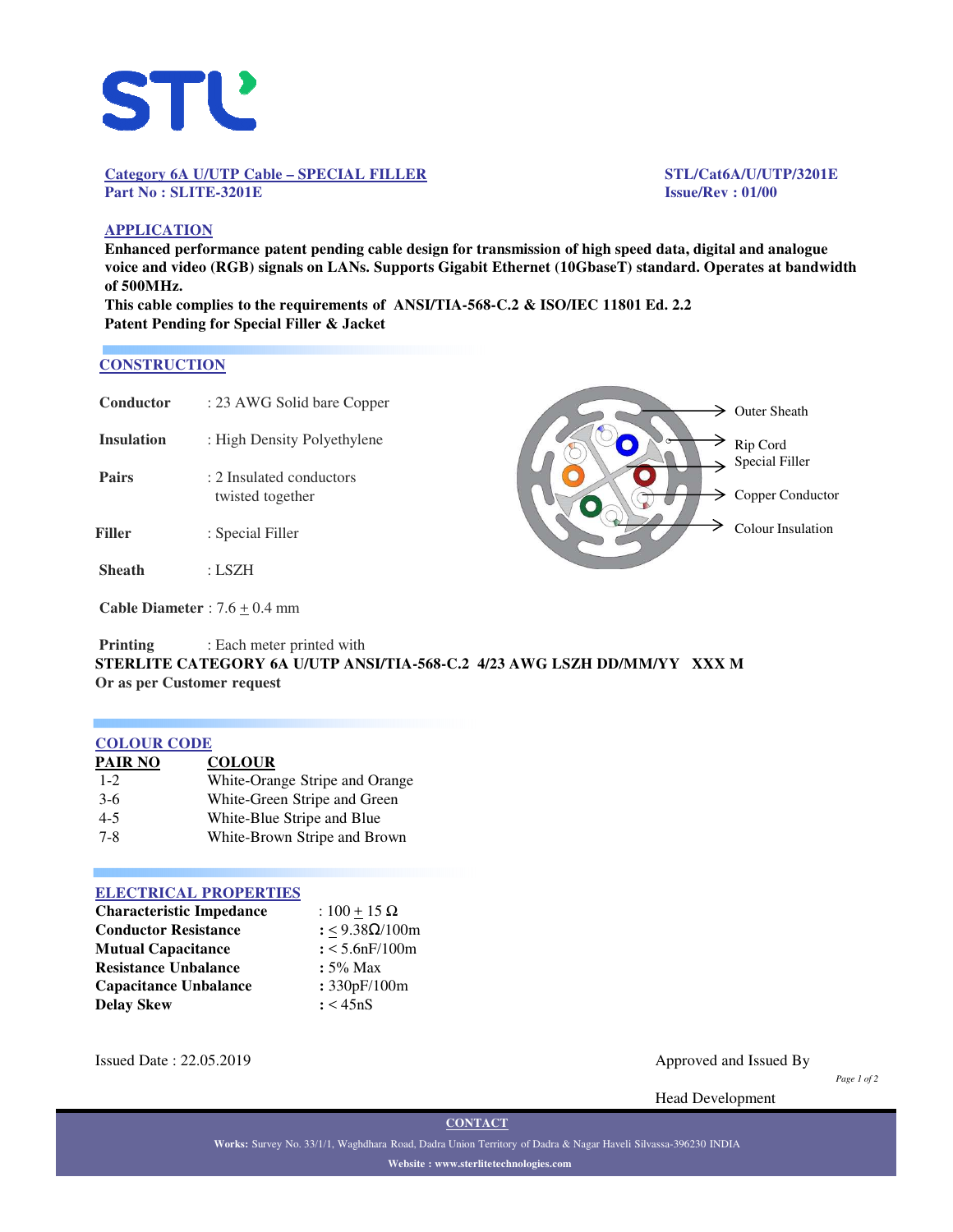

#### **Category 6A U/UTP Cable – SPECIAL FILLER STL/Cat6A/U/UTP/3201E Part No : SLITE-3201E Issue/Rev : 01/00**

# **APPLICATION**

**Enhanced performance patent pending cable design for transmission of high speed data, digital and analogue voice and video (RGB) signals on LANs. Supports Gigabit Ethernet (10GbaseT) standard. Operates at bandwidth of 500MHz.**

**This cable complies to the requirements of ANSI/TIA-568-C.2 & ISO/IEC 11801 Ed. 2.2 Patent Pending for Special Filler & Jacket**

#### **CONSTRUCTION**

| Conductor         | : 23 AWG Solid bare Copper                                                                            |  |
|-------------------|-------------------------------------------------------------------------------------------------------|--|
| <b>Insulation</b> | : High Density Polyethylene                                                                           |  |
| <b>Pairs</b>      | : 2 Insulated conductors<br>twisted together                                                          |  |
| Filler            | : Special Filler                                                                                      |  |
| <b>Sheath</b>     | : LSZH                                                                                                |  |
|                   | $C_0$ <sub>ble</sub> D <sub>i</sub> $\alpha$ $\alpha$ $\beta$ $\beta$ $\beta$ $\beta$ $\beta$ $\beta$ |  |

 $\geq$  Outer Sheath Rip Cord  $\Rightarrow$  Special Filler  $\geq$  Copper Conductor Colour Insulation

**Cable Diameter** :  $7.6 \pm 0.4$  mm

**Printing** : Each meter printed with **STERLITE CATEGORY 6A U/UTP ANSI/TIA-568-C.2 4/23 AWG LSZH DD/MM/YY XXX M Or as per Customer request**

## **COLOUR CODE**

| <b>PAIR NO</b> | <b>COLOUR</b>                  |
|----------------|--------------------------------|
| $1 - 2$        | White-Orange Stripe and Orange |
| $3-6$          | White-Green Stripe and Green   |
| $4 - 5$        | White-Blue Stripe and Blue     |
| $7 - 8$        | White-Brown Stripe and Brown   |

#### **ELECTRICAL PROPERTIES**

| <b>Characteristic Impedance</b> | : $100 + 15 \Omega$ |  |  |
|---------------------------------|---------------------|--|--|
| <b>Conductor Resistance</b>     | : <9.38Ω/100m       |  |  |
| <b>Mutual Capacitance</b>       | $: < 5.6$ nF/100m   |  |  |
| <b>Resistance Unbalance</b>     | $: 5\%$ Max         |  |  |
| <b>Capacitance Unbalance</b>    | : 330pF/100m        |  |  |
| <b>Delay Skew</b>               | : < 45nS            |  |  |

Issued Date : 22.05.2019 Approved and Issued By

*Page 1 of 2*

Head Development

**CONTACT**

**Works:** Survey No. 33/1/1, Waghdhara Road, Dadra Union Territory of Dadra & Nagar Haveli Silvassa-396230 INDIA **Website : www.sterlitetechnologies.com**